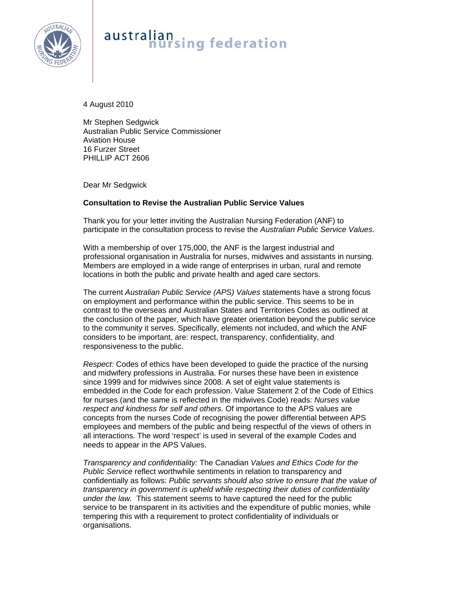

## australian<br>nursing federation

4 August 2010

Mr Stephen Sedgwick Australian Public Service Commissioner Aviation House 16 Furzer Street PHILLIP ACT 2606

Dear Mr Sedgwick

## **Consultation to Revise the Australian Public Service Values**

Thank you for your letter inviting the Australian Nursing Federation (ANF) to participate in the consultation process to revise the *Australian Public Service Values*.

With a membership of over 175,000, the ANF is the largest industrial and professional organisation in Australia for nurses, midwives and assistants in nursing. Members are employed in a wide range of enterprises in urban, rural and remote locations in both the public and private health and aged care sectors.

The current *Australian Public Service (APS) Values* statements have a strong focus on employment and performance within the public service. This seems to be in contrast to the overseas and Australian States and Territories Codes as outlined at the conclusion of the paper, which have greater orientation beyond the public service to the community it serves. Specifically, elements not included, and which the ANF considers to be important, are: respect, transparency, confidentiality, and responsiveness to the public.

*Respect:* Codes of ethics have been developed to guide the practice of the nursing and midwifery professions in Australia. For nurses these have been in existence since 1999 and for midwives since 2008. A set of eight value statements is embedded in the Code for each profession. Value Statement 2 of the Code of Ethics for nurses (and the same is reflected in the midwives Code) reads: *Nurses value respect and kindness for self and others.* Of importance to the APS values are concepts from the nurses Code of recognising the power differential between APS employees and members of the public and being respectful of the views of others in all interactions. The word 'respect' is used in several of the example Codes and needs to appear in the APS Values.

*Transparency and confidentiality:* The Canadian *Values and Ethics Code for the Public Service* reflect worthwhile sentiments in relation to transparency and confidentially as follows: *Public servants should also strive to ensure that the value of transparency in government is upheld while respecting their duties of confidentiality under the law.* This statement seems to have captured the need for the public service to be transparent in its activities and the expenditure of public monies, while tempering this with a requirement to protect confidentiality of individuals or organisations.